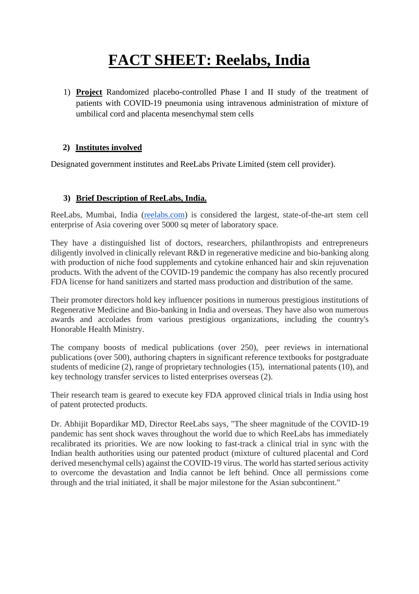# **FACT SHEET: Reelabs, India**

1) **Project** Randomized placebo-controlled Phase I and II study of the treatment of patients with COVID-19 pneumonia using intravenous administration of mixture of umbilical cord and placenta mesenchymal stem cells

## **2) Institutes involved**

Designated government institutes and ReeLabs Private Limited (stem cell provider).

# **3) Brief Description of ReeLabs, India.**

ReeLabs, Mumbai, India [\(reelabs.com\)](http://reelabs.com/) is considered the largest, state-of-the-art stem cell enterprise of Asia covering over 5000 sq meter of laboratory space.

They have a distinguished list of doctors, researchers, philanthropists and entrepreneurs diligently involved in clinically relevant R&D in regenerative medicine and bio-banking along with production of niche food supplements and cytokine enhanced hair and skin rejuvenation products. With the advent of the COVID-19 pandemic the company has also recently procured FDA license for hand sanitizers and started mass production and distribution of the same.

Their promoter directors hold key influencer positions in numerous prestigious institutions of Regenerative Medicine and Bio-banking in India and overseas. They have also won numerous awards and accolades from various prestigious organizations, including the country's Honorable Health Ministry.

The company boosts of medical publications (over 250), peer reviews in international publications (over 500), authoring chapters in significant reference textbooks for postgraduate students of medicine (2), range of proprietary technologies (15), international patents (10), and key technology transfer services to listed enterprises overseas (2).

Their research team is geared to execute key FDA approved clinical trials in India using host of patent protected products.

Dr. Abhijit Bopardikar MD, Director ReeLabs says, "The sheer magnitude of the COVID-19 pandemic has sent shock waves throughout the world due to which ReeLabs has immediately recalibrated its priorities. We are now looking to fast-track a clinical trial in sync with the Indian health authorities using our patented product (mixture of cultured placental and Cord derived mesenchymal cells) against the COVID-19 virus. The world has started serious activity to overcome the devastation and India cannot be left behind. Once all permissions come through and the trial initiated, it shall be major milestone for the Asian subcontinent."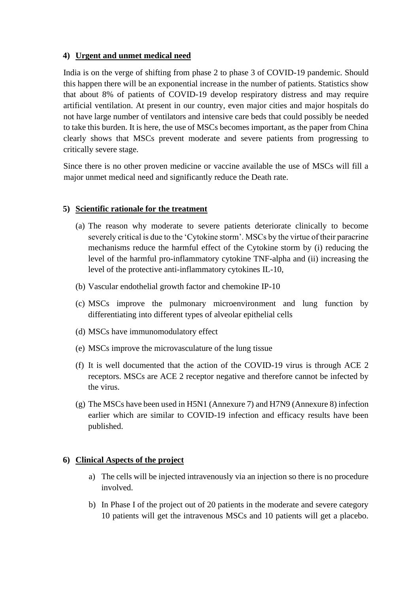#### **4) Urgent and unmet medical need**

India is on the verge of shifting from phase 2 to phase 3 of COVID-19 pandemic. Should this happen there will be an exponential increase in the number of patients. Statistics show that about 8% of patients of COVID-19 develop respiratory distress and may require artificial ventilation. At present in our country, even major cities and major hospitals do not have large number of ventilators and intensive care beds that could possibly be needed to take this burden. It is here, the use of MSCs becomes important, as the paper from China clearly shows that MSCs prevent moderate and severe patients from progressing to critically severe stage.

Since there is no other proven medicine or vaccine available the use of MSCs will fill a major unmet medical need and significantly reduce the Death rate.

# **5) Scientific rationale for the treatment**

- (a) The reason why moderate to severe patients deteriorate clinically to become severely critical is due to the 'Cytokine storm'. MSCs by the virtue of their paracrine mechanisms reduce the harmful effect of the Cytokine storm by (i) reducing the level of the harmful pro-inflammatory cytokine TNF-alpha and (ii) increasing the level of the protective anti-inflammatory cytokines IL-10,
- (b) Vascular endothelial growth factor and chemokine IP-10
- (c) MSCs improve the pulmonary microenvironment and lung function by differentiating into different types of alveolar epithelial cells
- (d) MSCs have immunomodulatory effect
- (e) MSCs improve the microvasculature of the lung tissue
- (f) It is well documented that the action of the COVID-19 virus is through ACE 2 receptors. MSCs are ACE 2 receptor negative and therefore cannot be infected by the virus.
- (g) The MSCs have been used in H5N1 (Annexure 7) and H7N9 (Annexure 8) infection earlier which are similar to COVID-19 infection and efficacy results have been published.

#### **6) Clinical Aspects of the project**

- a) The cells will be injected intravenously via an injection so there is no procedure involved.
- b) In Phase I of the project out of 20 patients in the moderate and severe category 10 patients will get the intravenous MSCs and 10 patients will get a placebo.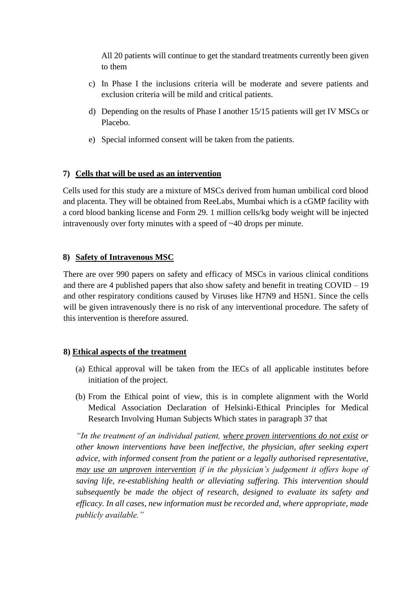All 20 patients will continue to get the standard treatments currently been given to them

- c) In Phase I the inclusions criteria will be moderate and severe patients and exclusion criteria will be mild and critical patients.
- d) Depending on the results of Phase I another 15/15 patients will get IV MSCs or Placebo.
- e) Special informed consent will be taken from the patients.

## **7) Cells that will be used as an intervention**

Cells used for this study are a mixture of MSCs derived from human umbilical cord blood and placenta. They will be obtained from ReeLabs, Mumbai which is a cGMP facility with a cord blood banking license and Form 29. 1 million cells/kg body weight will be injected intravenously over forty minutes with a speed of ~40 drops per minute.

## **8) Safety of Intravenous MSC**

There are over 990 papers on safety and efficacy of MSCs in various clinical conditions and there are 4 published papers that also show safety and benefit in treating COVID – 19 and other respiratory conditions caused by Viruses like H7N9 and H5N1. Since the cells will be given intravenously there is no risk of any interventional procedure. The safety of this intervention is therefore assured.

# **8) Ethical aspects of the treatment**

- (a) Ethical approval will be taken from the IECs of all applicable institutes before initiation of the project.
- (b) From the Ethical point of view, this is in complete alignment with the World Medical Association Declaration of Helsinki-Ethical Principles for Medical Research Involving Human Subjects Which states in paragraph 37 that

*"In the treatment of an individual patient, where proven interventions do not exist or other known interventions have been ineffective, the physician, after seeking expert advice, with informed consent from the patient or a legally authorised representative, may use an unproven intervention if in the physician's judgement it offers hope of saving life, re-establishing health or alleviating suffering. This intervention should subsequently be made the object of research, designed to evaluate its safety and efficacy. In all cases, new information must be recorded and, where appropriate, made publicly available."*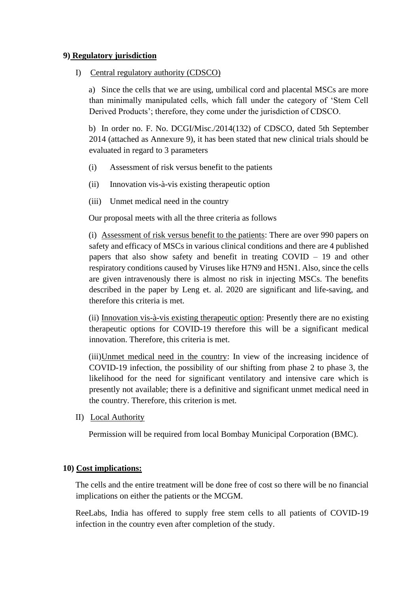#### **9) Regulatory jurisdiction**

I) Central regulatory authority (CDSCO)

a) Since the cells that we are using, umbilical cord and placental MSCs are more than minimally manipulated cells, which fall under the category of 'Stem Cell Derived Products'; therefore, they come under the jurisdiction of CDSCO.

b) In order no. F. No. DCGI/Misc./2014(132) of CDSCO, dated 5th September 2014 (attached as Annexure 9), it has been stated that new clinical trials should be evaluated in regard to 3 parameters

- (i) Assessment of risk versus benefit to the patients
- (ii) Innovation vis-à-vis existing therapeutic option
- (iii) Unmet medical need in the country

Our proposal meets with all the three criteria as follows

(i) Assessment of risk versus benefit to the patients: There are over 990 papers on safety and efficacy of MSCs in various clinical conditions and there are 4 published papers that also show safety and benefit in treating COVID – 19 and other respiratory conditions caused by Viruses like H7N9 and H5N1. Also, since the cells are given intravenously there is almost no risk in injecting MSCs. The benefits described in the paper by Leng et. al. 2020 are significant and life-saving, and therefore this criteria is met.

(ii) Innovation vis-à-vis existing therapeutic option: Presently there are no existing therapeutic options for COVID-19 therefore this will be a significant medical innovation. Therefore, this criteria is met.

(iii)Unmet medical need in the country: In view of the increasing incidence of COVID-19 infection, the possibility of our shifting from phase 2 to phase 3, the likelihood for the need for significant ventilatory and intensive care which is presently not available; there is a definitive and significant unmet medical need in the country. Therefore, this criterion is met.

II) Local Authority

Permission will be required from local Bombay Municipal Corporation (BMC).

#### **10) Cost implications:**

The cells and the entire treatment will be done free of cost so there will be no financial implications on either the patients or the MCGM.

ReeLabs, India has offered to supply free stem cells to all patients of COVID-19 infection in the country even after completion of the study.